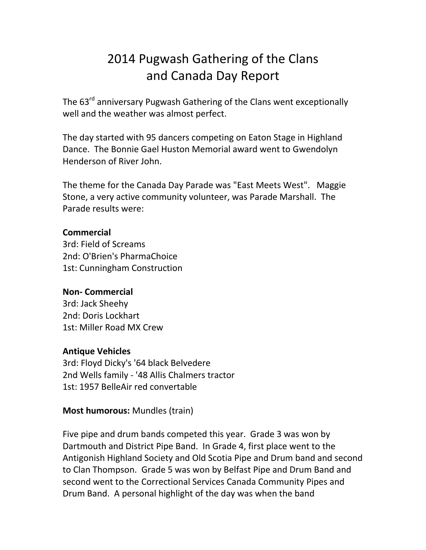# 2014 Pugwash Gathering of the Clans and Canada Day Report

The 63<sup>rd</sup> anniversary Pugwash Gathering of the Clans went exceptionally well and the weather was almost perfect.

The day started with 95 dancers competing on Eaton Stage in Highland Dance. The Bonnie Gael Huston Memorial award went to Gwendolyn Henderson of River John.

The theme for the Canada Day Parade was "East Meets West". Maggie Stone, a very active community volunteer, was Parade Marshall. The Parade results were:

### **Commercial**

3rd: Field of Screams 2nd: O'Brien's PharmaChoice 1st: Cunningham Construction

## **Non- Commercial**

3rd: Jack Sheehy 2nd: Doris Lockhart 1st: Miller Road MX Crew

## **Antique Vehicles**

3rd: Floyd Dicky's '64 black Belvedere 2nd Wells family - '48 Allis Chalmers tractor 1st: 1957 BelleAir red convertable

## **Most humorous:** Mundles (train)

Five pipe and drum bands competed this year. Grade 3 was won by Dartmouth and District Pipe Band. In Grade 4, first place went to the Antigonish Highland Society and Old Scotia Pipe and Drum band and second to Clan Thompson. Grade 5 was won by Belfast Pipe and Drum Band and second went to the Correctional Services Canada Community Pipes and Drum Band. A personal highlight of the day was when the band